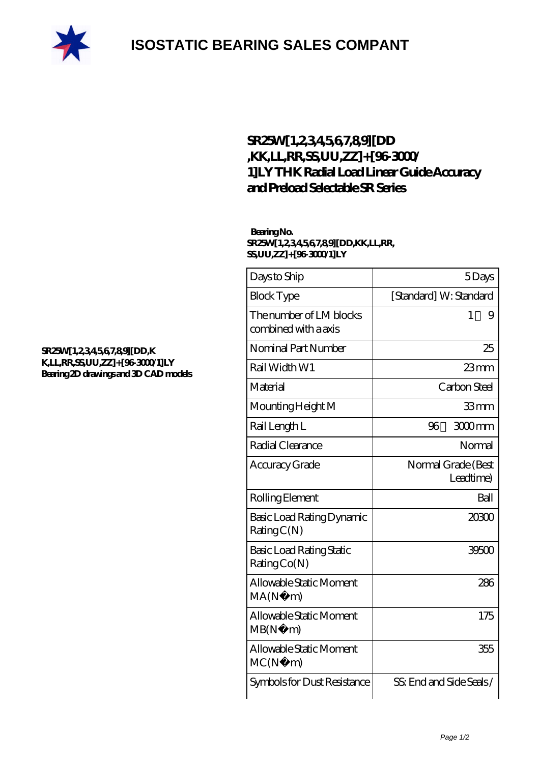

# **[ISOSTATIC BEARING SALES COMPANT](https://m.rebeccakeelingstudios.com)**

### **[SR25W\[1,2,3,4,5,6,7,8,9\]\[DD](https://m.rebeccakeelingstudios.com/high-temperature-linear-guide/sr25w-1-2-3-4-5-6-7-8-9-dd-kk-ll-rr-ss-uu-zz-96-3000-1-ly.html) [,KK,LL,RR,SS,UU,ZZ\]+\[96-3000/](https://m.rebeccakeelingstudios.com/high-temperature-linear-guide/sr25w-1-2-3-4-5-6-7-8-9-dd-kk-ll-rr-ss-uu-zz-96-3000-1-ly.html) [1\]LY THK Radial Load Linear Guide Accuracy](https://m.rebeccakeelingstudios.com/high-temperature-linear-guide/sr25w-1-2-3-4-5-6-7-8-9-dd-kk-ll-rr-ss-uu-zz-96-3000-1-ly.html) [and Preload Selectable SR Series](https://m.rebeccakeelingstudios.com/high-temperature-linear-guide/sr25w-1-2-3-4-5-6-7-8-9-dd-kk-ll-rr-ss-uu-zz-96-3000-1-ly.html)**

#### **Bearing No. SR25W[1,2,3,4,5,6,7,8,9][DD,KK,LL,RR, SS,UU,ZZ]+[96-3000/1]LY**

| Days to Ship                                    | 5Days                           |
|-------------------------------------------------|---------------------------------|
| <b>Block Type</b>                               | [Standard] W: Standard          |
| The number of LM blocks<br>combined with a axis | 1<br>9                          |
| Nominal Part Number                             | 25                              |
| Rail Width W1                                   | 23 <sub>mm</sub>                |
| Material                                        | Carbon Steel                    |
| Mounting Height M                               | 33mm                            |
| Rail Length L                                   | 3000mm<br>96                    |
| Radial Clearance                                | Normal                          |
| Accuracy Grade                                  | Normal Grade (Best<br>Leadtime) |
| Rolling Element                                 | Ball                            |
| Basic Load Rating Dynamic<br>RatingC(N)         | 20300                           |
| Basic Load Rating Static<br>Rating Co(N)        | 39500                           |
| Allowable Static Moment<br>MA(N)<br>m)          | 286                             |
| Allowable Static Moment<br>MB(N)<br>m)          | 175                             |
| Allowable Static Moment<br>MC(N)<br>m)          | 355                             |
| Symbols for Dust Resistance                     | SS: End and Side Seals /        |

#### **[SR25W\[1,2,3,4,5,6,7,8,9\]\[DD,K](https://m.rebeccakeelingstudios.com/pic-658719.html) [K,LL,RR,SS,UU,ZZ\]+\[96-3000/1\]LY](https://m.rebeccakeelingstudios.com/pic-658719.html) [Bearing 2D drawings and 3D CAD models](https://m.rebeccakeelingstudios.com/pic-658719.html)**